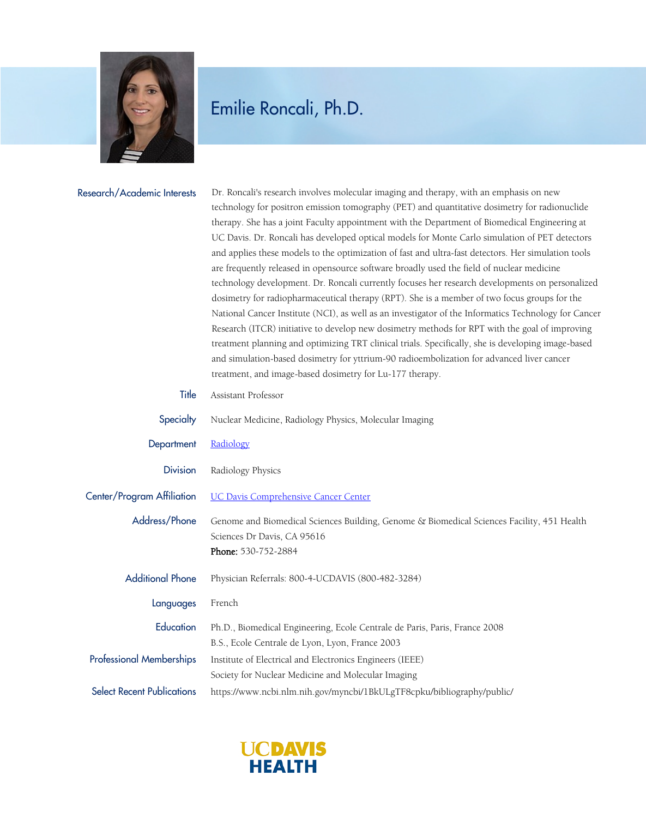

## Emilie Roncali, Ph.D.

| Research/Academic Interests       | Dr. Roncali's research involves molecular imaging and therapy, with an emphasis on new<br>technology for positron emission tomography (PET) and quantitative dosimetry for radionuclide<br>therapy. She has a joint Faculty appointment with the Department of Biomedical Engineering at<br>UC Davis. Dr. Roncali has developed optical models for Monte Carlo simulation of PET detectors<br>and applies these models to the optimization of fast and ultra-fast detectors. Her simulation tools<br>are frequently released in opensource software broadly used the field of nuclear medicine<br>technology development. Dr. Roncali currently focuses her research developments on personalized<br>dosimetry for radiopharmaceutical therapy (RPT). She is a member of two focus groups for the<br>National Cancer Institute (NCI), as well as an investigator of the Informatics Technology for Cancer<br>Research (ITCR) initiative to develop new dosimetry methods for RPT with the goal of improving<br>treatment planning and optimizing TRT clinical trials. Specifically, she is developing image-based<br>and simulation-based dosimetry for yttrium-90 radioembolization for advanced liver cancer<br>treatment, and image-based dosimetry for Lu-177 therapy. |
|-----------------------------------|----------------------------------------------------------------------------------------------------------------------------------------------------------------------------------------------------------------------------------------------------------------------------------------------------------------------------------------------------------------------------------------------------------------------------------------------------------------------------------------------------------------------------------------------------------------------------------------------------------------------------------------------------------------------------------------------------------------------------------------------------------------------------------------------------------------------------------------------------------------------------------------------------------------------------------------------------------------------------------------------------------------------------------------------------------------------------------------------------------------------------------------------------------------------------------------------------------------------------------------------------------------------------|
| Title                             | Assistant Professor                                                                                                                                                                                                                                                                                                                                                                                                                                                                                                                                                                                                                                                                                                                                                                                                                                                                                                                                                                                                                                                                                                                                                                                                                                                        |
| Specialty                         | Nuclear Medicine, Radiology Physics, Molecular Imaging                                                                                                                                                                                                                                                                                                                                                                                                                                                                                                                                                                                                                                                                                                                                                                                                                                                                                                                                                                                                                                                                                                                                                                                                                     |
| Department                        | Radiology                                                                                                                                                                                                                                                                                                                                                                                                                                                                                                                                                                                                                                                                                                                                                                                                                                                                                                                                                                                                                                                                                                                                                                                                                                                                  |
| <b>Division</b>                   | Radiology Physics                                                                                                                                                                                                                                                                                                                                                                                                                                                                                                                                                                                                                                                                                                                                                                                                                                                                                                                                                                                                                                                                                                                                                                                                                                                          |
| Center/Program Affiliation        | <b>UC Davis Comprehensive Cancer Center</b>                                                                                                                                                                                                                                                                                                                                                                                                                                                                                                                                                                                                                                                                                                                                                                                                                                                                                                                                                                                                                                                                                                                                                                                                                                |
| Address/Phone                     | Genome and Biomedical Sciences Building, Genome & Biomedical Sciences Facility, 451 Health<br>Sciences Dr Davis, CA 95616<br>Phone: 530-752-2884                                                                                                                                                                                                                                                                                                                                                                                                                                                                                                                                                                                                                                                                                                                                                                                                                                                                                                                                                                                                                                                                                                                           |
| <b>Additional Phone</b>           | Physician Referrals: 800-4-UCDAVIS (800-482-3284)                                                                                                                                                                                                                                                                                                                                                                                                                                                                                                                                                                                                                                                                                                                                                                                                                                                                                                                                                                                                                                                                                                                                                                                                                          |
| Languages                         | French                                                                                                                                                                                                                                                                                                                                                                                                                                                                                                                                                                                                                                                                                                                                                                                                                                                                                                                                                                                                                                                                                                                                                                                                                                                                     |
| Education                         | Ph.D., Biomedical Engineering, Ecole Centrale de Paris, Paris, France 2008<br>B.S., Ecole Centrale de Lyon, Lyon, France 2003                                                                                                                                                                                                                                                                                                                                                                                                                                                                                                                                                                                                                                                                                                                                                                                                                                                                                                                                                                                                                                                                                                                                              |
| <b>Professional Memberships</b>   | Institute of Electrical and Electronics Engineers (IEEE)<br>Society for Nuclear Medicine and Molecular Imaging                                                                                                                                                                                                                                                                                                                                                                                                                                                                                                                                                                                                                                                                                                                                                                                                                                                                                                                                                                                                                                                                                                                                                             |
| <b>Select Recent Publications</b> | https://www.ncbi.nlm.nih.gov/myncbi/1BkULgTF8cpku/bibliography/public/                                                                                                                                                                                                                                                                                                                                                                                                                                                                                                                                                                                                                                                                                                                                                                                                                                                                                                                                                                                                                                                                                                                                                                                                     |

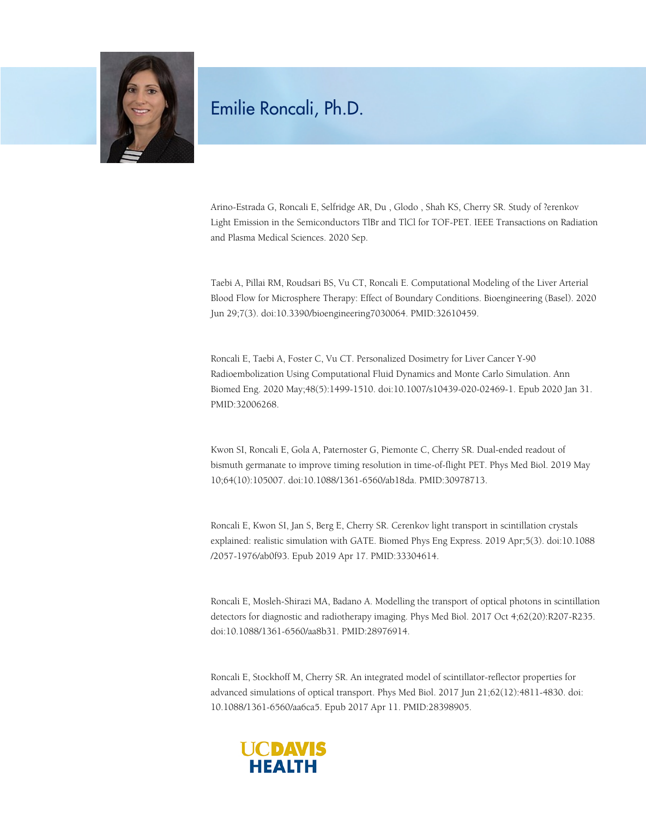

## Emilie Roncali, Ph.D.

Arino-Estrada G, Roncali E, Selfridge AR, Du , Glodo , Shah KS, Cherry SR. Study of ?erenkov Light Emission in the Semiconductors TlBr and TlCl for TOF-PET. IEEE Transactions on Radiation and Plasma Medical Sciences. 2020 Sep.

Taebi A, Pillai RM, Roudsari BS, Vu CT, Roncali E. Computational Modeling of the Liver Arterial Blood Flow for Microsphere Therapy: Effect of Boundary Conditions. Bioengineering (Basel). 2020 Jun 29;7(3). doi:10.3390/bioengineering7030064. PMID:32610459.

Roncali E, Taebi A, Foster C, Vu CT. Personalized Dosimetry for Liver Cancer Y-90 Radioembolization Using Computational Fluid Dynamics and Monte Carlo Simulation. Ann Biomed Eng. 2020 May;48(5):1499-1510. doi:10.1007/s10439-020-02469-1. Epub 2020 Jan 31. PMID:32006268.

Kwon SI, Roncali E, Gola A, Paternoster G, Piemonte C, Cherry SR. Dual-ended readout of bismuth germanate to improve timing resolution in time-of-flight PET. Phys Med Biol. 2019 May 10;64(10):105007. doi:10.1088/1361-6560/ab18da. PMID:30978713.

Roncali E, Kwon SI, Jan S, Berg E, Cherry SR. Cerenkov light transport in scintillation crystals explained: realistic simulation with GATE. Biomed Phys Eng Express. 2019 Apr;5(3). doi:10.1088 /2057-1976/ab0f93. Epub 2019 Apr 17. PMID:33304614.

Roncali E, Mosleh-Shirazi MA, Badano A. Modelling the transport of optical photons in scintillation detectors for diagnostic and radiotherapy imaging. Phys Med Biol. 2017 Oct 4;62(20):R207-R235. doi:10.1088/1361-6560/aa8b31. PMID:28976914.

Roncali E, Stockhoff M, Cherry SR. An integrated model of scintillator-reflector properties for advanced simulations of optical transport. Phys Med Biol. 2017 Jun 21;62(12):4811-4830. doi: 10.1088/1361-6560/aa6ca5. Epub 2017 Apr 11. PMID:28398905.